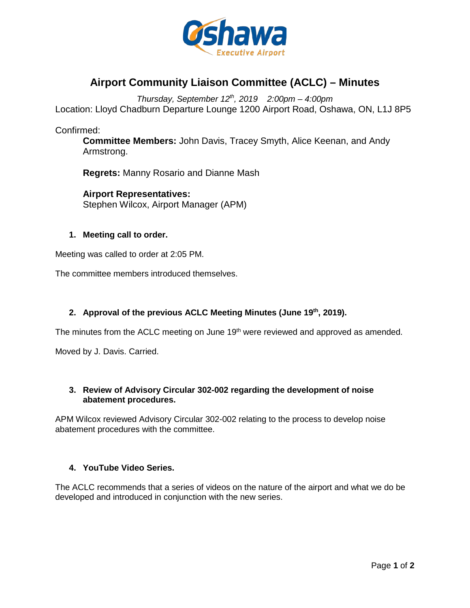

# **Airport Community Liaison Committee (ACLC) – Minutes**

*Thursday, September 12th, 2019 2:00pm – 4:00pm* Location: Lloyd Chadburn Departure Lounge 1200 Airport Road, Oshawa, ON, L1J 8P5

Confirmed:

**Committee Members:** John Davis, Tracey Smyth, Alice Keenan, and Andy Armstrong.

**Regrets:** Manny Rosario and Dianne Mash

**Airport Representatives:** Stephen Wilcox, Airport Manager (APM)

#### **1. Meeting call to order.**

Meeting was called to order at 2:05 PM.

The committee members introduced themselves.

## **2. Approval of the previous ACLC Meeting Minutes (June 19th, 2019).**

The minutes from the ACLC meeting on June 19<sup>th</sup> were reviewed and approved as amended.

Moved by J. Davis. Carried.

## **3. Review of Advisory Circular 302-002 regarding the development of noise abatement procedures.**

APM Wilcox reviewed Advisory Circular 302-002 relating to the process to develop noise abatement procedures with the committee.

## **4. YouTube Video Series.**

The ACLC recommends that a series of videos on the nature of the airport and what we do be developed and introduced in conjunction with the new series.